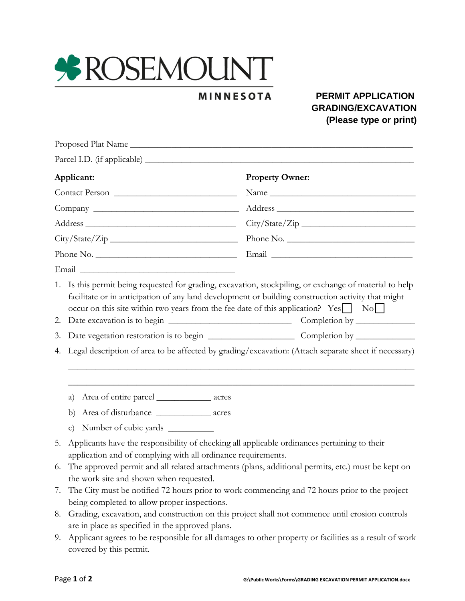

## **MINNESOTA**

## **PERMIT APPLICATION GRADING/EXCAVATION (Please type or print)**

| Applicant:<br>Contact Person |                                                                                                                                                                                                                                                                    | <b>Property Owner:</b><br>Name<br>Address City/State/Zip<br>Phone No. |  |  |           |                                                                                                                                                                                                                                                                                                                  |  |  |  |  |  |
|------------------------------|--------------------------------------------------------------------------------------------------------------------------------------------------------------------------------------------------------------------------------------------------------------------|-----------------------------------------------------------------------|--|--|-----------|------------------------------------------------------------------------------------------------------------------------------------------------------------------------------------------------------------------------------------------------------------------------------------------------------------------|--|--|--|--|--|
|                              |                                                                                                                                                                                                                                                                    |                                                                       |  |  | Phone No. |                                                                                                                                                                                                                                                                                                                  |  |  |  |  |  |
|                              |                                                                                                                                                                                                                                                                    |                                                                       |  |  |           | Email Communication of the Communication of the Communication of the Communication of the Communication of the Communication of the Communication of the Communication of the Communication of the Communication of the Commun                                                                                   |  |  |  |  |  |
|                              |                                                                                                                                                                                                                                                                    |                                                                       |  |  | 2.        | 1. Is this permit being requested for grading, excavation, stockpiling, or exchange of material to help<br>facilitate or in anticipation of any land development or building construction activity that might<br>occur on this site within two years from the fee date of this application? $Yes \Box \ No \Box$ |  |  |  |  |  |
|                              |                                                                                                                                                                                                                                                                    |                                                                       |  |  | 3.        |                                                                                                                                                                                                                                                                                                                  |  |  |  |  |  |
| 4.                           | Legal description of area to be affected by grading/excavation: (Attach separate sheet if necessary)                                                                                                                                                               |                                                                       |  |  |           |                                                                                                                                                                                                                                                                                                                  |  |  |  |  |  |
|                              | Area of entire parcel ________________ acres<br>a)                                                                                                                                                                                                                 |                                                                       |  |  |           |                                                                                                                                                                                                                                                                                                                  |  |  |  |  |  |
|                              | Area of disturbance ________________ acres<br>b)                                                                                                                                                                                                                   |                                                                       |  |  |           |                                                                                                                                                                                                                                                                                                                  |  |  |  |  |  |
|                              | $\mathbf{c}$                                                                                                                                                                                                                                                       |                                                                       |  |  |           |                                                                                                                                                                                                                                                                                                                  |  |  |  |  |  |
| 5.<br>6.                     | Applicants have the responsibility of checking all applicable ordinances pertaining to their<br>application and of complying with all ordinance requirements.<br>The approved permit and all related attachments (plans, additional permits, etc.) must be kept on |                                                                       |  |  |           |                                                                                                                                                                                                                                                                                                                  |  |  |  |  |  |
|                              | the work site and shown when requested.                                                                                                                                                                                                                            |                                                                       |  |  |           |                                                                                                                                                                                                                                                                                                                  |  |  |  |  |  |
| 7.                           | The City must be notified 72 hours prior to work commencing and 72 hours prior to the project<br>being completed to allow proper inspections.                                                                                                                      |                                                                       |  |  |           |                                                                                                                                                                                                                                                                                                                  |  |  |  |  |  |
| 8.                           | Grading, excavation, and construction on this project shall not commence until erosion controls<br>are in place as specified in the approved plans.                                                                                                                |                                                                       |  |  |           |                                                                                                                                                                                                                                                                                                                  |  |  |  |  |  |
| 9.                           | Applicant agrees to be responsible for all damages to other property or facilities as a result of work<br>covered by this permit.                                                                                                                                  |                                                                       |  |  |           |                                                                                                                                                                                                                                                                                                                  |  |  |  |  |  |